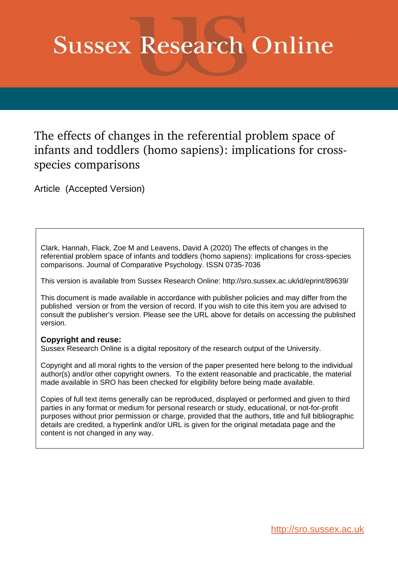# **Sussex Research Online**

The effects of changes in the referential problem space of infants and toddlers (homo sapiens): implications for crossspecies comparisons

Article (Accepted Version)

Clark, Hannah, Flack, Zoe M and Leavens, David A (2020) The effects of changes in the referential problem space of infants and toddlers (homo sapiens): implications for cross-species comparisons. Journal of Comparative Psychology. ISSN 0735-7036

This version is available from Sussex Research Online: http://sro.sussex.ac.uk/id/eprint/89639/

This document is made available in accordance with publisher policies and may differ from the published version or from the version of record. If you wish to cite this item you are advised to consult the publisher's version. Please see the URL above for details on accessing the published version.

#### **Copyright and reuse:**

Sussex Research Online is a digital repository of the research output of the University.

Copyright and all moral rights to the version of the paper presented here belong to the individual author(s) and/or other copyright owners. To the extent reasonable and practicable, the material made available in SRO has been checked for eligibility before being made available.

Copies of full text items generally can be reproduced, displayed or performed and given to third parties in any format or medium for personal research or study, educational, or not-for-profit purposes without prior permission or charge, provided that the authors, title and full bibliographic details are credited, a hyperlink and/or URL is given for the original metadata page and the content is not changed in any way.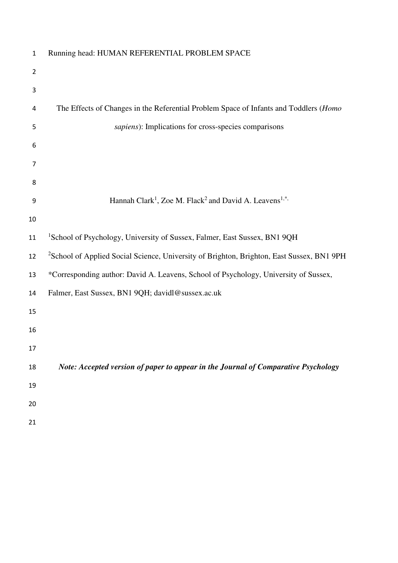| $\mathbf 1$    | Running head: HUMAN REFERENTIAL PROBLEM SPACE                                                         |
|----------------|-------------------------------------------------------------------------------------------------------|
| $\overline{2}$ |                                                                                                       |
| 3              |                                                                                                       |
| 4              | The Effects of Changes in the Referential Problem Space of Infants and Toddlers (Homo                 |
| 5              | sapiens): Implications for cross-species comparisons                                                  |
| 6              |                                                                                                       |
| $\overline{7}$ |                                                                                                       |
| 8              |                                                                                                       |
| 9              | Hannah Clark <sup>1</sup> , Zoe M. Flack <sup>2</sup> and David A. Leavens <sup>1,*</sup>             |
| 10             |                                                                                                       |
| 11             | <sup>1</sup> School of Psychology, University of Sussex, Falmer, East Sussex, BN1 9QH                 |
| 12             | <sup>2</sup> School of Applied Social Science, University of Brighton, Brighton, East Sussex, BN1 9PH |
| 13             | *Corresponding author: David A. Leavens, School of Psychology, University of Sussex,                  |
| 14             | Falmer, East Sussex, BN1 9QH; davidl@sussex.ac.uk                                                     |
| 15             |                                                                                                       |
| 16             |                                                                                                       |
| 17             |                                                                                                       |
| 18             | Note: Accepted version of paper to appear in the Journal of Comparative Psychology                    |
| 19             |                                                                                                       |
| 20             |                                                                                                       |
| 21             |                                                                                                       |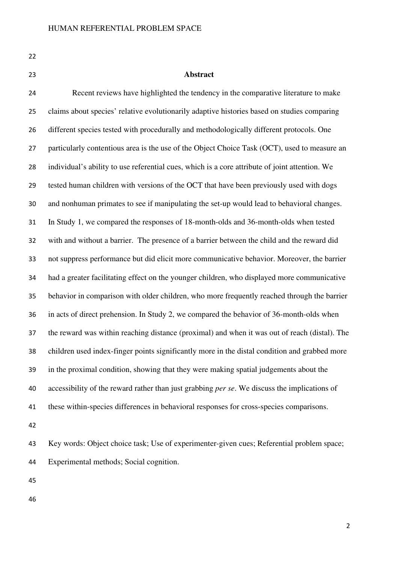| ۰.       |  |
|----------|--|
| ٠<br>. . |  |
|          |  |

#### **Abstract**

Recent reviews have highlighted the tendency in the comparative literature to make claims about species' relative evolutionarily adaptive histories based on studies comparing different species tested with procedurally and methodologically different protocols. One 27 particularly contentious area is the use of the Object Choice Task (OCT), used to measure an individual's ability to use referential cues, which is a core attribute of joint attention. We tested human children with versions of the OCT that have been previously used with dogs and nonhuman primates to see if manipulating the set-up would lead to behavioral changes. In Study 1, we compared the responses of 18-month-olds and 36-month-olds when tested with and without a barrier. The presence of a barrier between the child and the reward did not suppress performance but did elicit more communicative behavior. Moreover, the barrier had a greater facilitating effect on the younger children, who displayed more communicative behavior in comparison with older children, who more frequently reached through the barrier in acts of direct prehension. In Study 2, we compared the behavior of 36-month-olds when the reward was within reaching distance (proximal) and when it was out of reach (distal). The children used index-finger points significantly more in the distal condition and grabbed more in the proximal condition, showing that they were making spatial judgements about the accessibility of the reward rather than just grabbing *per se*. We discuss the implications of these within-species differences in behavioral responses for cross-species comparisons. 

Key words: Object choice task; Use of experimenter-given cues; Referential problem space; Experimental methods; Social cognition.

- 
-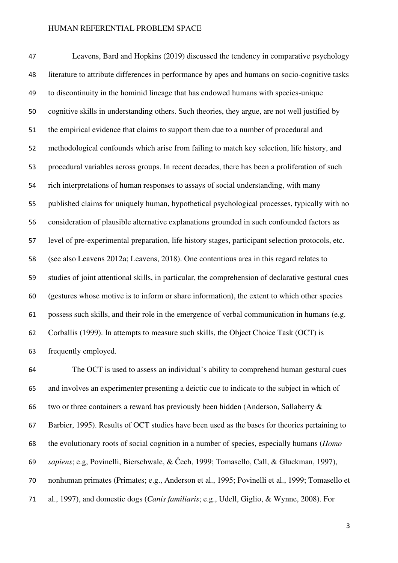Leavens, Bard and Hopkins (2019) discussed the tendency in comparative psychology literature to attribute differences in performance by apes and humans on socio-cognitive tasks to discontinuity in the hominid lineage that has endowed humans with species-unique cognitive skills in understanding others. Such theories, they argue, are not well justified by the empirical evidence that claims to support them due to a number of procedural and methodological confounds which arise from failing to match key selection, life history, and procedural variables across groups. In recent decades, there has been a proliferation of such rich interpretations of human responses to assays of social understanding, with many published claims for uniquely human, hypothetical psychological processes, typically with no consideration of plausible alternative explanations grounded in such confounded factors as level of pre-experimental preparation, life history stages, participant selection protocols, etc. (see also Leavens 2012a; Leavens, 2018). One contentious area in this regard relates to studies of joint attentional skills, in particular, the comprehension of declarative gestural cues (gestures whose motive is to inform or share information), the extent to which other species possess such skills, and their role in the emergence of verbal communication in humans (e.g. Corballis (1999). In attempts to measure such skills, the Object Choice Task (OCT) is frequently employed.

The OCT is used to assess an individual's ability to comprehend human gestural cues and involves an experimenter presenting a deictic cue to indicate to the subject in which of two or three containers a reward has previously been hidden (Anderson, Sallaberry & Barbier, 1995). Results of OCT studies have been used as the bases for theories pertaining to the evolutionary roots of social cognition in a number of species, especially humans (*Homo sapiens*; e.g, Povinelli, Bierschwale, & Čech, 1999; Tomasello, Call, & Gluckman, 1997), nonhuman primates (Primates; e.g., Anderson et al., 1995; Povinelli et al., 1999; Tomasello et al., 1997), and domestic dogs (*Canis familiaris*; e.g., Udell, Giglio, & Wynne, 2008). For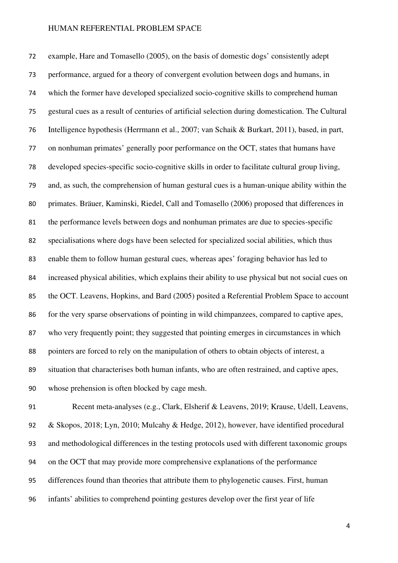example, Hare and Tomasello (2005), on the basis of domestic dogs' consistently adept performance, argued for a theory of convergent evolution between dogs and humans, in which the former have developed specialized socio-cognitive skills to comprehend human gestural cues as a result of centuries of artificial selection during domestication. The Cultural Intelligence hypothesis (Herrmann et al., 2007; van Schaik & Burkart, 2011), based, in part, on nonhuman primates' generally poor performance on the OCT, states that humans have developed species-specific socio-cognitive skills in order to facilitate cultural group living, and, as such, the comprehension of human gestural cues is a human-unique ability within the primates. Bräuer, Kaminski, Riedel, Call and Tomasello (2006) proposed that differences in the performance levels between dogs and nonhuman primates are due to species-specific specialisations where dogs have been selected for specialized social abilities, which thus enable them to follow human gestural cues, whereas apes' foraging behavior has led to increased physical abilities, which explains their ability to use physical but not social cues on the OCT. Leavens, Hopkins, and Bard (2005) posited a Referential Problem Space to account for the very sparse observations of pointing in wild chimpanzees, compared to captive apes, who very frequently point; they suggested that pointing emerges in circumstances in which pointers are forced to rely on the manipulation of others to obtain objects of interest, a situation that characterises both human infants, who are often restrained, and captive apes, whose prehension is often blocked by cage mesh.

Recent meta-analyses (e.g., Clark, Elsherif & Leavens, 2019; Krause, Udell, Leavens, & Skopos, 2018; Lyn, 2010; Mulcahy & Hedge, 2012), however, have identified procedural and methodological differences in the testing protocols used with different taxonomic groups on the OCT that may provide more comprehensive explanations of the performance differences found than theories that attribute them to phylogenetic causes. First, human infants' abilities to comprehend pointing gestures develop over the first year of life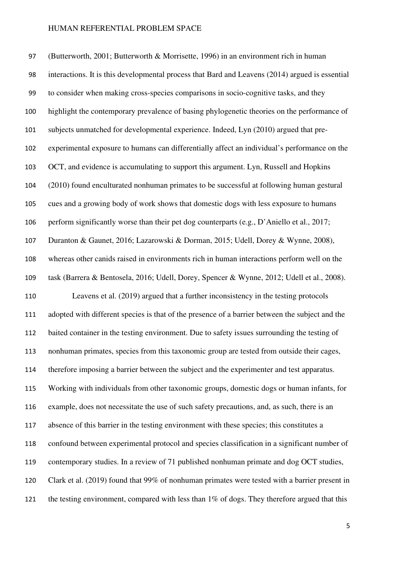(Butterworth, 2001; Butterworth & Morrisette, 1996) in an environment rich in human interactions. It is this developmental process that Bard and Leavens (2014) argued is essential to consider when making cross-species comparisons in socio-cognitive tasks, and they highlight the contemporary prevalence of basing phylogenetic theories on the performance of subjects unmatched for developmental experience. Indeed, Lyn (2010) argued that pre-experimental exposure to humans can differentially affect an individual's performance on the OCT, and evidence is accumulating to support this argument. Lyn, Russell and Hopkins (2010) found enculturated nonhuman primates to be successful at following human gestural cues and a growing body of work shows that domestic dogs with less exposure to humans perform significantly worse than their pet dog counterparts (e.g., D'Aniello et al., 2017; Duranton & Gaunet, 2016; Lazarowski & Dorman, 2015; Udell, Dorey & Wynne, 2008), whereas other canids raised in environments rich in human interactions perform well on the task (Barrera & Bentosela, 2016; Udell, Dorey, Spencer & Wynne, 2012; Udell et al., 2008). Leavens et al. (2019) argued that a further inconsistency in the testing protocols adopted with different species is that of the presence of a barrier between the subject and the baited container in the testing environment. Due to safety issues surrounding the testing of nonhuman primates, species from this taxonomic group are tested from outside their cages, 114 therefore imposing a barrier between the subject and the experimenter and test apparatus. Working with individuals from other taxonomic groups, domestic dogs or human infants, for example, does not necessitate the use of such safety precautions, and, as such, there is an absence of this barrier in the testing environment with these species; this constitutes a confound between experimental protocol and species classification in a significant number of contemporary studies. In a review of 71 published nonhuman primate and dog OCT studies, Clark et al. (2019) found that 99% of nonhuman primates were tested with a barrier present in 121 the testing environment, compared with less than 1% of dogs. They therefore argued that this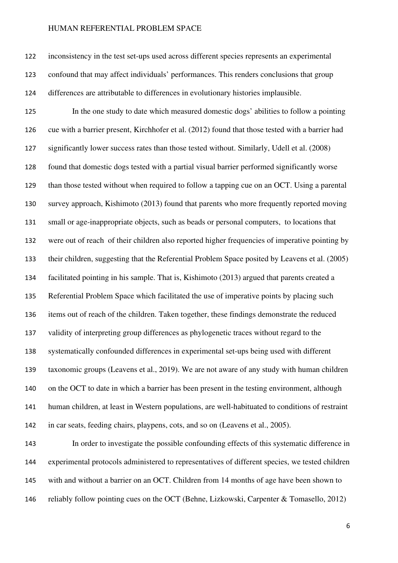inconsistency in the test set-ups used across different species represents an experimental confound that may affect individuals' performances. This renders conclusions that group differences are attributable to differences in evolutionary histories implausible. In the one study to date which measured domestic dogs' abilities to follow a pointing cue with a barrier present, Kirchhofer et al. (2012) found that those tested with a barrier had significantly lower success rates than those tested without. Similarly, Udell et al. (2008) found that domestic dogs tested with a partial visual barrier performed significantly worse than those tested without when required to follow a tapping cue on an OCT. Using a parental survey approach, Kishimoto (2013) found that parents who more frequently reported moving small or age-inappropriate objects, such as beads or personal computers, to locations that were out of reach of their children also reported higher frequencies of imperative pointing by their children, suggesting that the Referential Problem Space posited by Leavens et al. (2005) facilitated pointing in his sample. That is, Kishimoto (2013) argued that parents created a Referential Problem Space which facilitated the use of imperative points by placing such items out of reach of the children. Taken together, these findings demonstrate the reduced validity of interpreting group differences as phylogenetic traces without regard to the systematically confounded differences in experimental set-ups being used with different taxonomic groups (Leavens et al., 2019). We are not aware of any study with human children on the OCT to date in which a barrier has been present in the testing environment, although human children, at least in Western populations, are well-habituated to conditions of restraint in car seats, feeding chairs, playpens, cots, and so on (Leavens et al., 2005).

In order to investigate the possible confounding effects of this systematic difference in experimental protocols administered to representatives of different species, we tested children with and without a barrier on an OCT. Children from 14 months of age have been shown to reliably follow pointing cues on the OCT (Behne, Lizkowski, Carpenter & Tomasello, 2012)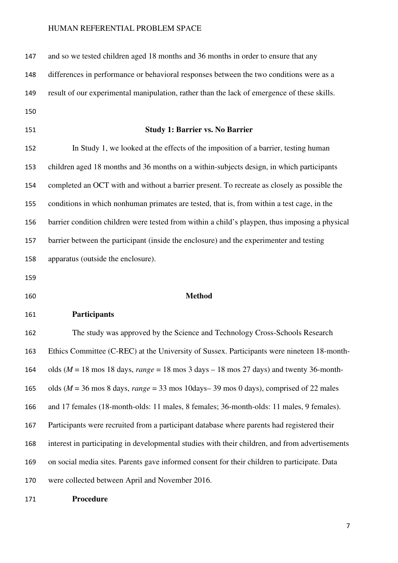| 147 | and so we tested children aged 18 months and 36 months in order to ensure that any              |
|-----|-------------------------------------------------------------------------------------------------|
| 148 | differences in performance or behavioral responses between the two conditions were as a         |
| 149 | result of our experimental manipulation, rather than the lack of emergence of these skills.     |
| 150 |                                                                                                 |
| 151 | <b>Study 1: Barrier vs. No Barrier</b>                                                          |
| 152 | In Study 1, we looked at the effects of the imposition of a barrier, testing human              |
| 153 | children aged 18 months and 36 months on a within-subjects design, in which participants        |
| 154 | completed an OCT with and without a barrier present. To recreate as closely as possible the     |
| 155 | conditions in which nonhuman primates are tested, that is, from within a test cage, in the      |
| 156 | barrier condition children were tested from within a child's playpen, thus imposing a physical  |
| 157 | barrier between the participant (inside the enclosure) and the experimenter and testing         |
| 158 | apparatus (outside the enclosure).                                                              |
| 159 |                                                                                                 |
| 160 | <b>Method</b>                                                                                   |
| 161 | Participants                                                                                    |
| 162 | The study was approved by the Science and Technology Cross-Schools Research                     |
| 163 | Ethics Committee (C-REC) at the University of Sussex. Participants were nineteen 18-month-      |
| 164 | olds ( $M = 18$ mos 18 days, range = 18 mos 3 days - 18 mos 27 days) and twenty 36-month-       |
| 165 | olds ( $M = 36$ mos 8 days, range = 33 mos 10days-39 mos 0 days), comprised of 22 males         |
| 166 | and 17 females (18-month-olds: 11 males, 8 females; 36-month-olds: 11 males, 9 females).        |
| 167 | Participants were recruited from a participant database where parents had registered their      |
| 168 | interest in participating in developmental studies with their children, and from advertisements |
| 169 | on social media sites. Parents gave informed consent for their children to participate. Data    |
| 170 | were collected between April and November 2016.                                                 |
| 171 | Procedure                                                                                       |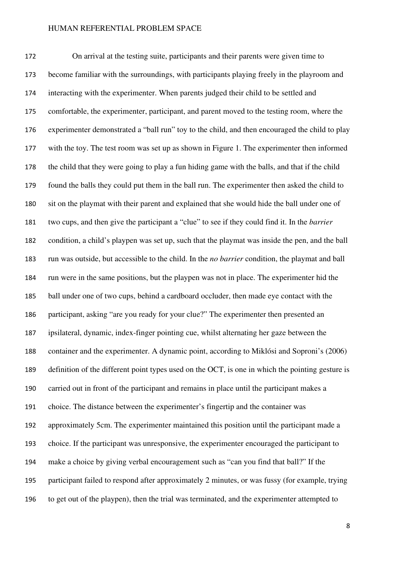On arrival at the testing suite, participants and their parents were given time to become familiar with the surroundings, with participants playing freely in the playroom and interacting with the experimenter. When parents judged their child to be settled and comfortable, the experimenter, participant, and parent moved to the testing room, where the experimenter demonstrated a "ball run" toy to the child, and then encouraged the child to play with the toy. The test room was set up as shown in Figure 1. The experimenter then informed the child that they were going to play a fun hiding game with the balls, and that if the child found the balls they could put them in the ball run. The experimenter then asked the child to sit on the playmat with their parent and explained that she would hide the ball under one of two cups, and then give the participant a "clue" to see if they could find it. In the *barrier* condition, a child's playpen was set up, such that the playmat was inside the pen, and the ball run was outside, but accessible to the child. In the *no barrier* condition, the playmat and ball run were in the same positions, but the playpen was not in place. The experimenter hid the ball under one of two cups, behind a cardboard occluder, then made eye contact with the participant, asking "are you ready for your clue?" The experimenter then presented an ipsilateral, dynamic, index-finger pointing cue, whilst alternating her gaze between the container and the experimenter. A dynamic point, according to Miklósi and Soproni's (2006) definition of the different point types used on the OCT, is one in which the pointing gesture is carried out in front of the participant and remains in place until the participant makes a choice. The distance between the experimenter's fingertip and the container was approximately 5cm. The experimenter maintained this position until the participant made a choice. If the participant was unresponsive, the experimenter encouraged the participant to make a choice by giving verbal encouragement such as "can you find that ball?" If the participant failed to respond after approximately 2 minutes, or was fussy (for example, trying to get out of the playpen), then the trial was terminated, and the experimenter attempted to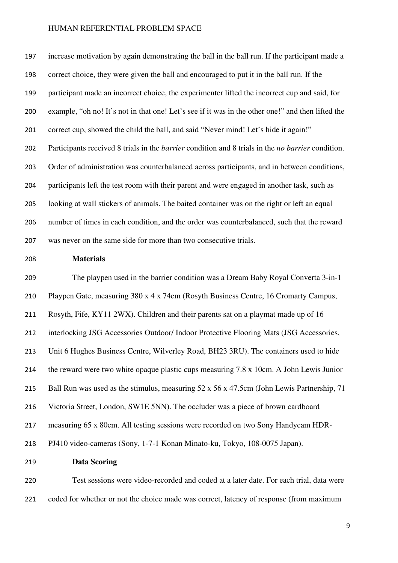increase motivation by again demonstrating the ball in the ball run. If the participant made a correct choice, they were given the ball and encouraged to put it in the ball run. If the participant made an incorrect choice, the experimenter lifted the incorrect cup and said, for example, "oh no! It's not in that one! Let's see if it was in the other one!" and then lifted the correct cup, showed the child the ball, and said "Never mind! Let's hide it again!" Participants received 8 trials in the *barrier* condition and 8 trials in the *no barrier* condition. Order of administration was counterbalanced across participants, and in between conditions, participants left the test room with their parent and were engaged in another task, such as looking at wall stickers of animals. The baited container was on the right or left an equal number of times in each condition, and the order was counterbalanced, such that the reward was never on the same side for more than two consecutive trials.

#### **Materials**

The playpen used in the barrier condition was a Dream Baby Royal Converta 3-in-1 Playpen Gate, measuring 380 x 4 x 74cm (Rosyth Business Centre, 16 Cromarty Campus, Rosyth, Fife, KY11 2WX). Children and their parents sat on a playmat made up of 16 interlocking JSG Accessories Outdoor/ Indoor Protective Flooring Mats (JSG Accessories, Unit 6 Hughes Business Centre, Wilverley Road, BH23 3RU). The containers used to hide the reward were two white opaque plastic cups measuring 7.8 x 10cm. A John Lewis Junior 215 Ball Run was used as the stimulus, measuring 52 x 56 x 47.5cm (John Lewis Partnership, 71 Victoria Street, London, SW1E 5NN). The occluder was a piece of brown cardboard measuring 65 x 80cm. All testing sessions were recorded on two Sony Handycam HDR-PJ410 video-cameras (Sony, 1-7-1 Konan Minato-ku, Tokyo, 108-0075 Japan).

# **Data Scoring**

Test sessions were video-recorded and coded at a later date. For each trial, data were 221 coded for whether or not the choice made was correct, latency of response (from maximum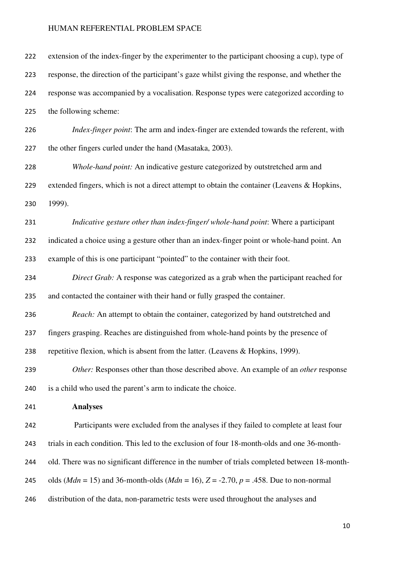| 222 | extension of the index-finger by the experimenter to the participant choosing a cup), type of              |
|-----|------------------------------------------------------------------------------------------------------------|
| 223 | response, the direction of the participant's gaze whilst giving the response, and whether the              |
| 224 | response was accompanied by a vocalisation. Response types were categorized according to                   |
| 225 | the following scheme:                                                                                      |
| 226 | <i>Index-finger point:</i> The arm and index-finger are extended towards the referent, with                |
| 227 | the other fingers curled under the hand (Masataka, 2003).                                                  |
| 228 | Whole-hand point: An indicative gesture categorized by outstretched arm and                                |
| 229 | extended fingers, which is not a direct attempt to obtain the container (Leavens & Hopkins,                |
| 230 | 1999).                                                                                                     |
| 231 | Indicative gesture other than index-finger/ whole-hand point: Where a participant                          |
| 232 | indicated a choice using a gesture other than an index-finger point or whole-hand point. An                |
| 233 | example of this is one participant "pointed" to the container with their foot.                             |
| 234 | Direct Grab: A response was categorized as a grab when the participant reached for                         |
| 235 | and contacted the container with their hand or fully grasped the container.                                |
| 236 | Reach: An attempt to obtain the container, categorized by hand outstretched and                            |
| 237 | fingers grasping. Reaches are distinguished from whole-hand points by the presence of                      |
| 238 | repetitive flexion, which is absent from the latter. (Leavens & Hopkins, 1999).                            |
| 239 | Other: Responses other than those described above. An example of an <i>other</i> response                  |
| 240 | is a child who used the parent's arm to indicate the choice.                                               |
| 241 | <b>Analyses</b>                                                                                            |
| 242 | Participants were excluded from the analyses if they failed to complete at least four                      |
| 243 | trials in each condition. This led to the exclusion of four 18-month-olds and one 36-month-                |
| 244 | old. There was no significant difference in the number of trials completed between 18-month-               |
| 245 | olds ( <i>Mdn</i> = 15) and 36-month-olds ( <i>Mdn</i> = 16), $Z = -2.70$ , $p = .458$ . Due to non-normal |
| 246 | distribution of the data, non-parametric tests were used throughout the analyses and                       |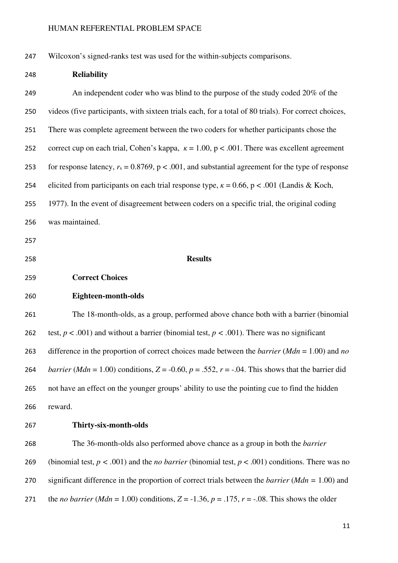Wilcoxon's signed-ranks test was used for the within-subjects comparisons.

| 248 | <b>Reliability</b>                                                                                                      |
|-----|-------------------------------------------------------------------------------------------------------------------------|
| 249 | An independent coder who was blind to the purpose of the study coded 20% of the                                         |
| 250 | videos (five participants, with sixteen trials each, for a total of 80 trials). For correct choices,                    |
| 251 | There was complete agreement between the two coders for whether participants chose the                                  |
| 252 | correct cup on each trial, Cohen's kappa, $\kappa = 1.00$ , $p < .001$ . There was excellent agreement                  |
| 253 | for response latency, $r_s = 0.8769$ , $p < .001$ , and substantial agreement for the type of response                  |
| 254 | elicited from participants on each trial response type, $\kappa = 0.66$ , $p < .001$ (Landis & Koch,                    |
| 255 | 1977). In the event of disagreement between coders on a specific trial, the original coding                             |
| 256 | was maintained.                                                                                                         |
| 257 |                                                                                                                         |
| 258 | <b>Results</b>                                                                                                          |
| 259 | <b>Correct Choices</b>                                                                                                  |
| 260 | Eighteen-month-olds                                                                                                     |
| 261 | The 18-month-olds, as a group, performed above chance both with a barrier (binomial                                     |
| 262 | test, $p < .001$ ) and without a barrier (binomial test, $p < .001$ ). There was no significant                         |
| 263 | difference in the proportion of correct choices made between the <i>barrier</i> ( $Mdn = 1.00$ ) and no                 |
| 264 | <i>barrier</i> ( <i>Mdn</i> = 1.00) conditions, $Z = -0.60$ , $p = .552$ , $r = -.04$ . This shows that the barrier did |
| 265 | not have an effect on the younger groups' ability to use the pointing cue to find the hidden                            |
| 266 | reward.                                                                                                                 |
| 267 | Thirty-six-month-olds                                                                                                   |
| 268 | The 36-month-olds also performed above chance as a group in both the <i>barrier</i>                                     |
| 269 | (binomial test, $p < .001$ ) and the <i>no barrier</i> (binomial test, $p < .001$ ) conditions. There was no            |
| 270 | significant difference in the proportion of correct trials between the <i>barrier</i> ( $Mdn = 1.00$ ) and              |
| 271 | the <i>no barrier</i> ( <i>Mdn</i> = 1.00) conditions, $Z = -1.36$ , $p = .175$ , $r = -.08$ . This shows the older     |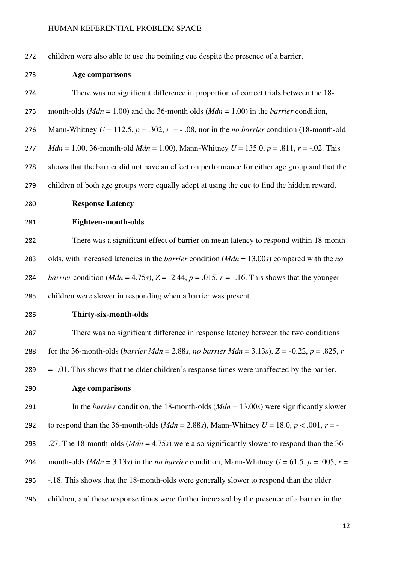children were also able to use the pointing cue despite the presence of a barrier.

**Age comparisons** 

There was no significant difference in proportion of correct trials between the 18- month-olds (*Mdn* = 1.00) and the 36-month olds (*Mdn* = 1.00) in the *barrier* condition, 276 Mann-Whitney  $U = 112.5$ ,  $p = .302$ ,  $r = -.08$ , nor in the *no barrier* condition (18-month-old *Mdn* = 1.00, 36-month-old *Mdn* = 1.00), Mann-Whitney *U* = 135.0, *p* = .811, *r* = -.02. This shows that the barrier did not have an effect on performance for either age group and that the children of both age groups were equally adept at using the cue to find the hidden reward. **Response Latency Eighteen-month-olds**  There was a significant effect of barrier on mean latency to respond within 18-month-olds, with increased latencies in the *barrier* condition (*Mdn* = 13.00*s*) compared with the *no barrier condition (Mdn* = 4.75*s*),  $Z = -2.44$ ,  $p = .015$ ,  $r = -.16$ . This shows that the younger children were slower in responding when a barrier was present. **Thirty-six-month-olds**  There was no significant difference in response latency between the two conditions 288 for the 36-month-olds (*barrier Mdn* = 2.88*s*, *no barrier Mdn* = 3.13*s*),  $Z = -0.22$ ,  $p = .825$ , *r* = -.01. This shows that the older children's response times were unaffected by the barrier. **Age comparisons**  In the *barrier* condition, the 18-month-olds (*Mdn* = 13.00*s*) were significantly slower 292 to respond than the 36-month-olds ( $Mdn = 2.88s$ ), Mann-Whitney  $U = 18.0$ ,  $p < .001$ ,  $r = -$ .27. The 18-month-olds (*Mdn* = 4.75*s*) were also significantly slower to respond than the 36- 294 month-olds ( $Mdn = 3.13s$ ) in the *no barrier* condition, Mann-Whitney  $U = 61.5$ ,  $p = .005$ ,  $r =$ -.18. This shows that the 18-month-olds were generally slower to respond than the older children, and these response times were further increased by the presence of a barrier in the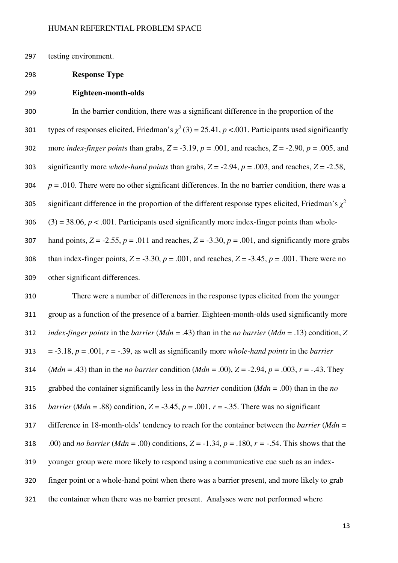297 testing environment.

#### 298 **Response Type**

#### 299 **Eighteen-month-olds**

300 In the barrier condition, there was a significant difference in the proportion of the types of responses elicited, Friedman's  $\chi^2(3) = 25.41$ ,  $p < .001$ . Participants used significantly 302 more *index-finger points* than grabs,  $Z = -3.19$ ,  $p = .001$ , and reaches,  $Z = -2.90$ ,  $p = .005$ , and 303 significantly more *whole-hand points* than grabs,  $Z = -2.94$ ,  $p = .003$ , and reaches,  $Z = -2.58$ ,  $304$  *p* = .010. There were no other significant differences. In the no barrier condition, there was a significant difference in the proportion of the different response types elicited, Friedman's  $\chi^2$ 306 (3) = 38.06,  $p < .001$ . Participants used significantly more index-finger points than whole-307 hand points,  $Z = -2.55$ ,  $p = .011$  and reaches,  $Z = -3.30$ ,  $p = .001$ , and significantly more grabs 308 than index-finger points,  $Z = -3.30$ ,  $p = .001$ , and reaches,  $Z = -3.45$ ,  $p = .001$ . There were no

309 other significant differences.

There were a number of differences in the response types elicited from the younger group as a function of the presence of a barrier. Eighteen-month-olds used significantly more *index-finger points* in the *barrier* (*Mdn* = .43) than in the *no barrier* (*Mdn* = .13) condition, *Z* 313 =  $-3.18$ ,  $p = .001$ ,  $r = -.39$ , as well as significantly more *whole-hand points* in the *barrier* (*Mdn* = .43) than in the *no barrier* condition (*Mdn* = .00), *Z* = -2.94, *p* = .003, *r* = -.43. They grabbed the container significantly less in the *barrier* condition (*Mdn* = .00) than in the *no barrier* (*Mdn* = .88) condition,  $Z = -3.45$ ,  $p = .001$ ,  $r = -.35$ . There was no significant difference in 18-month-olds' tendency to reach for the container between the *barrier* (*Mdn* = 318 .00) and *no barrier* (*Mdn* = .00) conditions,  $Z = -1.34$ ,  $p = 0.180$ ,  $r = -0.54$ . This shows that the younger group were more likely to respond using a communicative cue such as an index-finger point or a whole-hand point when there was a barrier present, and more likely to grab the container when there was no barrier present. Analyses were not performed where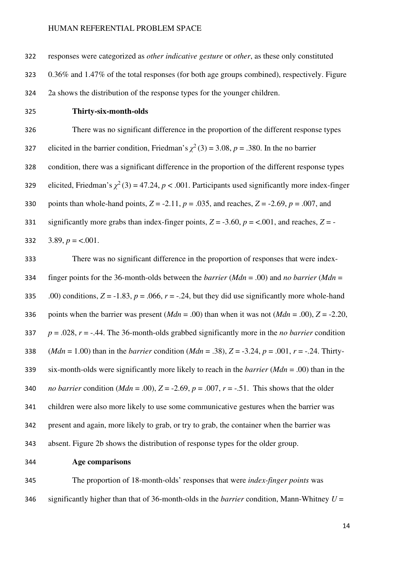responses were categorized as *other indicative gesture* or *other*, as these only constituted 0.36% and 1.47% of the total responses (for both age groups combined), respectively. Figure 2a shows the distribution of the response types for the younger children. **Thirty-six-month-olds**  There was no significant difference in the proportion of the different response types elicited in the barrier condition, Friedman's  $\chi^2(3) = 3.08$ ,  $p = .380$ . In the no barrier

condition, there was a significant difference in the proportion of the different response types elicited, Friedman's  $\chi^2$  (3) = 47.24, *p* < .001. Participants used significantly more index-finger 330 points than whole-hand points,  $Z = -2.11$ ,  $p = .035$ , and reaches,  $Z = -2.69$ ,  $p = .007$ , and 331 significantly more grabs than index-finger points,  $Z = -3.60$ ,  $p = <.001$ , and reaches,  $Z = -1$ 

332 3.89, 
$$
p = 0.001
$$
.

There was no significant difference in the proportion of responses that were index-finger points for the 36-month-olds between the *barrier* (*Mdn* = .00) and *no barrier* (*Mdn* = 335 .00) conditions,  $Z = -1.83$ ,  $p = .066$ ,  $r = -.24$ , but they did use significantly more whole-hand 336 points when the barrier was present  $(Mdn = .00)$  than when it was not  $(Mdn = .00)$ ,  $Z = -2.20$ , *p* = .028, *r* = -.44. The 36-month-olds grabbed significantly more in the *no barrier* condition (*Mdn* = 1.00) than in the *barrier* condition (*Mdn* = .38), *Z* = -3.24, *p* = .001, *r* = -.24. Thirty-six-month-olds were significantly more likely to reach in the *barrier* (*Mdn* = .00) than in the *no barrier condition (Mdn* = .00),  $Z = -2.69$ ,  $p = .007$ ,  $r = -.51$ . This shows that the older children were also more likely to use some communicative gestures when the barrier was present and again, more likely to grab, or try to grab, the container when the barrier was absent. Figure 2b shows the distribution of response types for the older group.

**Age comparisons** 

The proportion of 18-month-olds' responses that were *index-finger points* was significantly higher than that of 36-month-olds in the *barrier* condition, Mann-Whitney *U* =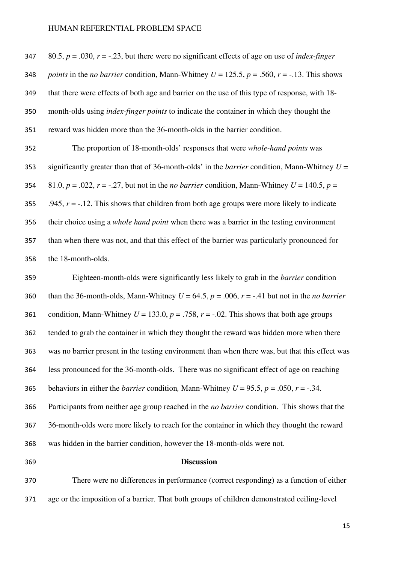347 80.5,  $p = .030$ ,  $r = -.23$ , but there were no significant effects of age on use of *index-finger points* in the *no barrier* condition, Mann-Whitney  $U = 125.5$ ,  $p = .560$ ,  $r = -.13$ . This shows that there were effects of both age and barrier on the use of this type of response, with 18- month-olds using *index-finger points* to indicate the container in which they thought the reward was hidden more than the 36-month-olds in the barrier condition.

The proportion of 18-month-olds' responses that were *whole-hand points* was significantly greater than that of 36-month-olds' in the *barrier* condition, Mann-Whitney *U* = 354 81.0,  $p = .022$ ,  $r = -.27$ , but not in the *no barrier* condition, Mann-Whitney  $U = 140.5$ ,  $p =$ 355 .945,  $r = -12$ . This shows that children from both age groups were more likely to indicate their choice using a *whole hand point* when there was a barrier in the testing environment than when there was not, and that this effect of the barrier was particularly pronounced for the 18-month-olds.

Eighteen-month-olds were significantly less likely to grab in the *barrier* condition 360 than the 36-month-olds, Mann-Whitney  $U = 64.5$ ,  $p = .006$ ,  $r = -.41$  but not in the *no barrier* 361 condition, Mann-Whitney  $U = 133.0$ ,  $p = .758$ ,  $r = -.02$ . This shows that both age groups tended to grab the container in which they thought the reward was hidden more when there was no barrier present in the testing environment than when there was, but that this effect was less pronounced for the 36-month-olds. There was no significant effect of age on reaching 365 behaviors in either the *barrier* condition, Mann-Whitney  $U = 95.5$ ,  $p = .050$ ,  $r = -.34$ . Participants from neither age group reached in the *no barrier* condition. This shows that the 36-month-olds were more likely to reach for the container in which they thought the reward was hidden in the barrier condition, however the 18-month-olds were not.

#### **Discussion**

There were no differences in performance (correct responding) as a function of either age or the imposition of a barrier. That both groups of children demonstrated ceiling-level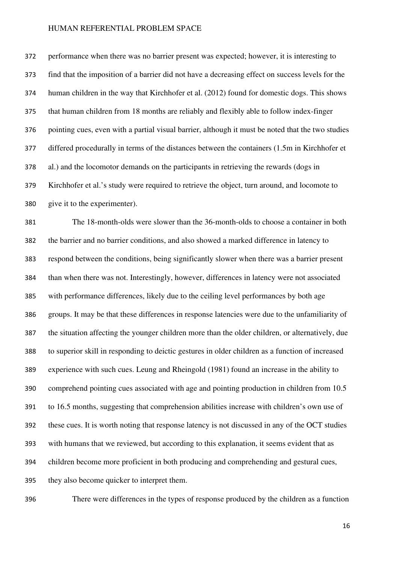performance when there was no barrier present was expected; however, it is interesting to find that the imposition of a barrier did not have a decreasing effect on success levels for the human children in the way that Kirchhofer et al. (2012) found for domestic dogs. This shows that human children from 18 months are reliably and flexibly able to follow index-finger pointing cues, even with a partial visual barrier, although it must be noted that the two studies differed procedurally in terms of the distances between the containers (1.5m in Kirchhofer et al.) and the locomotor demands on the participants in retrieving the rewards (dogs in Kirchhofer et al.'s study were required to retrieve the object, turn around, and locomote to give it to the experimenter).

The 18-month-olds were slower than the 36-month-olds to choose a container in both the barrier and no barrier conditions, and also showed a marked difference in latency to respond between the conditions, being significantly slower when there was a barrier present than when there was not. Interestingly, however, differences in latency were not associated with performance differences, likely due to the ceiling level performances by both age groups. It may be that these differences in response latencies were due to the unfamiliarity of the situation affecting the younger children more than the older children, or alternatively, due to superior skill in responding to deictic gestures in older children as a function of increased experience with such cues. Leung and Rheingold (1981) found an increase in the ability to comprehend pointing cues associated with age and pointing production in children from 10.5 to 16.5 months, suggesting that comprehension abilities increase with children's own use of these cues. It is worth noting that response latency is not discussed in any of the OCT studies with humans that we reviewed, but according to this explanation, it seems evident that as children become more proficient in both producing and comprehending and gestural cues, they also become quicker to interpret them.

There were differences in the types of response produced by the children as a function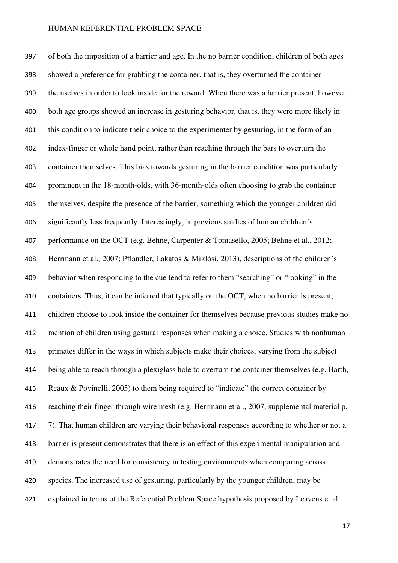of both the imposition of a barrier and age. In the no barrier condition, children of both ages showed a preference for grabbing the container, that is, they overturned the container themselves in order to look inside for the reward. When there was a barrier present, however, both age groups showed an increase in gesturing behavior, that is, they were more likely in this condition to indicate their choice to the experimenter by gesturing, in the form of an index-finger or whole hand point, rather than reaching through the bars to overturn the container themselves. This bias towards gesturing in the barrier condition was particularly prominent in the 18-month-olds, with 36-month-olds often choosing to grab the container themselves, despite the presence of the barrier, something which the younger children did significantly less frequently. Interestingly, in previous studies of human children's performance on the OCT (e.g. Behne, Carpenter & Tomasello, 2005; Behne et al., 2012; Herrmann et al., 2007; Pflandler, Lakatos & Miklósi, 2013), descriptions of the children's behavior when responding to the cue tend to refer to them "searching" or "looking" in the containers. Thus, it can be inferred that typically on the OCT, when no barrier is present, children choose to look inside the container for themselves because previous studies make no mention of children using gestural responses when making a choice. Studies with nonhuman primates differ in the ways in which subjects make their choices, varying from the subject being able to reach through a plexiglass hole to overturn the container themselves (e.g. Barth, Reaux & Povinelli, 2005) to them being required to "indicate" the correct container by reaching their finger through wire mesh (e.g. Herrmann et al., 2007, supplemental material p. 417 7). That human children are varying their behavioral responses according to whether or not a barrier is present demonstrates that there is an effect of this experimental manipulation and demonstrates the need for consistency in testing environments when comparing across species. The increased use of gesturing, particularly by the younger children, may be explained in terms of the Referential Problem Space hypothesis proposed by Leavens et al.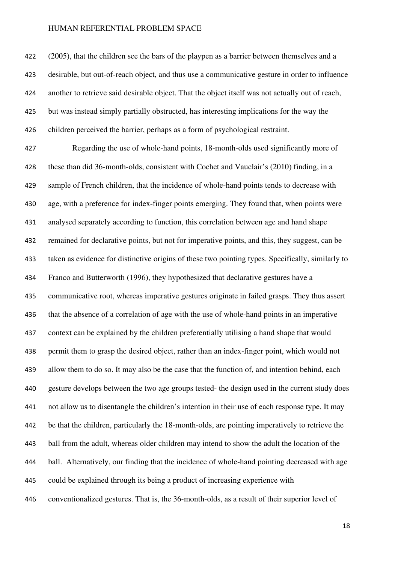422 (2005), that the children see the bars of the playpen as a barrier between themselves and a desirable, but out-of-reach object, and thus use a communicative gesture in order to influence another to retrieve said desirable object. That the object itself was not actually out of reach, but was instead simply partially obstructed, has interesting implications for the way the children perceived the barrier, perhaps as a form of psychological restraint.

Regarding the use of whole-hand points, 18-month-olds used significantly more of these than did 36-month-olds, consistent with Cochet and Vauclair's (2010) finding, in a sample of French children, that the incidence of whole-hand points tends to decrease with age, with a preference for index-finger points emerging. They found that, when points were analysed separately according to function, this correlation between age and hand shape remained for declarative points, but not for imperative points, and this, they suggest, can be taken as evidence for distinctive origins of these two pointing types. Specifically, similarly to Franco and Butterworth (1996), they hypothesized that declarative gestures have a communicative root, whereas imperative gestures originate in failed grasps. They thus assert that the absence of a correlation of age with the use of whole-hand points in an imperative context can be explained by the children preferentially utilising a hand shape that would permit them to grasp the desired object, rather than an index-finger point, which would not allow them to do so. It may also be the case that the function of, and intention behind, each gesture develops between the two age groups tested- the design used in the current study does not allow us to disentangle the children's intention in their use of each response type. It may be that the children, particularly the 18-month-olds, are pointing imperatively to retrieve the ball from the adult, whereas older children may intend to show the adult the location of the ball. Alternatively, our finding that the incidence of whole-hand pointing decreased with age could be explained through its being a product of increasing experience with conventionalized gestures. That is, the 36-month-olds, as a result of their superior level of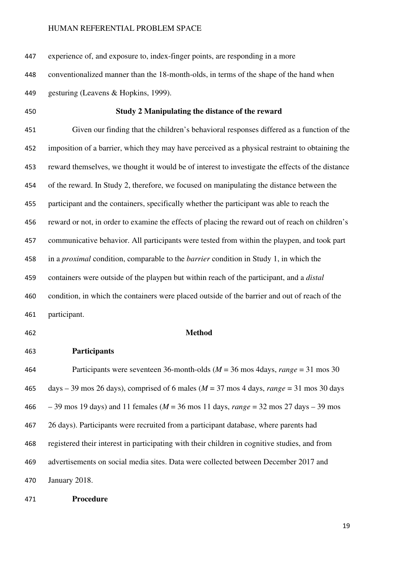experience of, and exposure to, index-finger points, are responding in a more

conventionalized manner than the 18-month-olds, in terms of the shape of the hand when

gesturing (Leavens & Hopkins, 1999).

#### **Study 2 Manipulating the distance of the reward**

Given our finding that the children's behavioral responses differed as a function of the imposition of a barrier, which they may have perceived as a physical restraint to obtaining the reward themselves, we thought it would be of interest to investigate the effects of the distance of the reward. In Study 2, therefore, we focused on manipulating the distance between the participant and the containers, specifically whether the participant was able to reach the reward or not, in order to examine the effects of placing the reward out of reach on children's communicative behavior. All participants were tested from within the playpen, and took part in a *proximal* condition, comparable to the *barrier* condition in Study 1, in which the containers were outside of the playpen but within reach of the participant, and a *distal*  condition, in which the containers were placed outside of the barrier and out of reach of the participant.

#### **Method**

**Participants** 

Participants were seventeen 36-month-olds (*M* = 36 mos 4days, *range* = 31 mos 30 days – 39 mos 26 days), comprised of 6 males (*M* = 37 mos 4 days, *range* = 31 mos 30 days – 39 mos 19 days) and 11 females (*M* = 36 mos 11 days, *range* = 32 mos 27 days – 39 mos 26 days). Participants were recruited from a participant database, where parents had registered their interest in participating with their children in cognitive studies, and from advertisements on social media sites. Data were collected between December 2017 and January 2018.

**Procedure**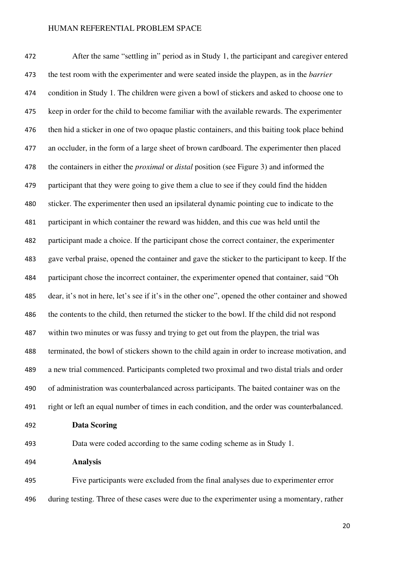After the same "settling in" period as in Study 1, the participant and caregiver entered the test room with the experimenter and were seated inside the playpen, as in the *barrier*  condition in Study 1. The children were given a bowl of stickers and asked to choose one to keep in order for the child to become familiar with the available rewards. The experimenter then hid a sticker in one of two opaque plastic containers, and this baiting took place behind an occluder, in the form of a large sheet of brown cardboard. The experimenter then placed the containers in either the *proximal* or *distal* position (see Figure 3) and informed the participant that they were going to give them a clue to see if they could find the hidden sticker. The experimenter then used an ipsilateral dynamic pointing cue to indicate to the participant in which container the reward was hidden, and this cue was held until the participant made a choice. If the participant chose the correct container, the experimenter gave verbal praise, opened the container and gave the sticker to the participant to keep. If the participant chose the incorrect container, the experimenter opened that container, said "Oh dear, it's not in here, let's see if it's in the other one", opened the other container and showed the contents to the child, then returned the sticker to the bowl. If the child did not respond within two minutes or was fussy and trying to get out from the playpen, the trial was terminated, the bowl of stickers shown to the child again in order to increase motivation, and a new trial commenced. Participants completed two proximal and two distal trials and order of administration was counterbalanced across participants. The baited container was on the right or left an equal number of times in each condition, and the order was counterbalanced. **Data Scoring**  Data were coded according to the same coding scheme as in Study 1.

**Analysis** 

Five participants were excluded from the final analyses due to experimenter error during testing. Three of these cases were due to the experimenter using a momentary, rather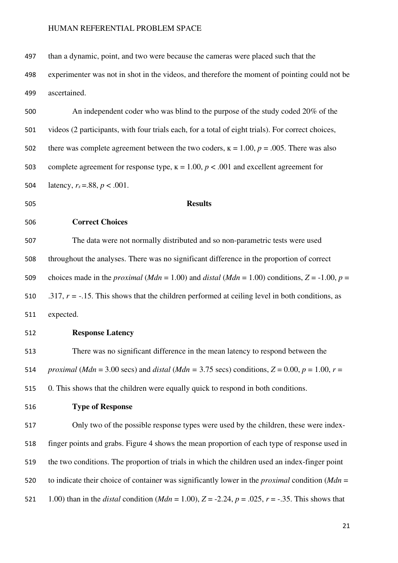| 497 | than a dynamic, point, and two were because the cameras were placed such that the                                               |
|-----|---------------------------------------------------------------------------------------------------------------------------------|
| 498 | experimenter was not in shot in the videos, and therefore the moment of pointing could not be                                   |
| 499 | ascertained.                                                                                                                    |
| 500 | An independent coder who was blind to the purpose of the study coded 20% of the                                                 |
| 501 | videos (2 participants, with four trials each, for a total of eight trials). For correct choices,                               |
| 502 | there was complete agreement between the two coders, $\kappa = 1.00$ , $p = .005$ . There was also                              |
| 503 | complete agreement for response type, $\kappa = 1.00$ , $p < .001$ and excellent agreement for                                  |
| 504 | latency, $r_s = .88$ , $p < .001$ .                                                                                             |
| 505 | <b>Results</b>                                                                                                                  |
| 506 | <b>Correct Choices</b>                                                                                                          |
| 507 | The data were not normally distributed and so non-parametric tests were used                                                    |
| 508 | throughout the analyses. There was no significant difference in the proportion of correct                                       |
| 509 | choices made in the <i>proximal</i> ( <i>Mdn</i> = 1.00) and <i>distal</i> ( <i>Mdn</i> = 1.00) conditions, $Z = -1.00$ , $p =$ |
| 510 | .317, $r = -0.15$ . This shows that the children performed at ceiling level in both conditions, as                              |
| 511 | expected.                                                                                                                       |
| 512 | <b>Response Latency</b>                                                                                                         |
| 513 | There was no significant difference in the mean latency to respond between the                                                  |
| 514 | proximal (Mdn = 3.00 secs) and distal (Mdn = 3.75 secs) conditions, $Z = 0.00$ , $p = 1.00$ , $r =$                             |
| 515 | 0. This shows that the children were equally quick to respond in both conditions.                                               |
| 516 | <b>Type of Response</b>                                                                                                         |
| 517 | Only two of the possible response types were used by the children, these were index-                                            |
| 518 | finger points and grabs. Figure 4 shows the mean proportion of each type of response used in                                    |
| 519 | the two conditions. The proportion of trials in which the children used an index-finger point                                   |
| 520 | to indicate their choice of container was significantly lower in the <i>proximal</i> condition ( $Mdn =$                        |
| 521 | 1.00) than in the <i>distal</i> condition ( <i>Mdn</i> = 1.00), $Z = -2.24$ , $p = .025$ , $r = -.35$ . This shows that         |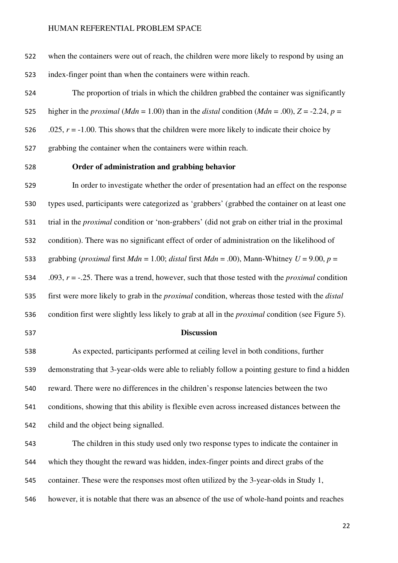when the containers were out of reach, the children were more likely to respond by using an index-finger point than when the containers were within reach.

The proportion of trials in which the children grabbed the container was significantly 525 higher in the *proximal* (*Mdn* = 1.00) than in the *distal* condition (*Mdn* = .00),  $Z = -2.24$ ,  $p =$ 526 .025,  $r = -1.00$ . This shows that the children were more likely to indicate their choice by grabbing the container when the containers were within reach.

#### **Order of administration and grabbing behavior**

In order to investigate whether the order of presentation had an effect on the response types used, participants were categorized as 'grabbers' (grabbed the container on at least one trial in the *proximal* condition or 'non-grabbers' (did not grab on either trial in the proximal condition). There was no significant effect of order of administration on the likelihood of 533 grabbing (*proximal* first  $Mdn = 1.00$ ; *distal* first  $Mdn = .00$ ), Mann-Whitney  $U = 9.00$ ,  $p =$ .093, *r* = -.25. There was a trend, however, such that those tested with the *proximal* condition first were more likely to grab in the *proximal* condition, whereas those tested with the *distal* 

- condition first were slightly less likely to grab at all in the *proximal* condition (see Figure 5).
- 

## **Discussion**

As expected, participants performed at ceiling level in both conditions, further demonstrating that 3-year-olds were able to reliably follow a pointing gesture to find a hidden reward. There were no differences in the children's response latencies between the two conditions, showing that this ability is flexible even across increased distances between the child and the object being signalled.

The children in this study used only two response types to indicate the container in which they thought the reward was hidden, index-finger points and direct grabs of the container. These were the responses most often utilized by the 3-year-olds in Study 1, however, it is notable that there was an absence of the use of whole-hand points and reaches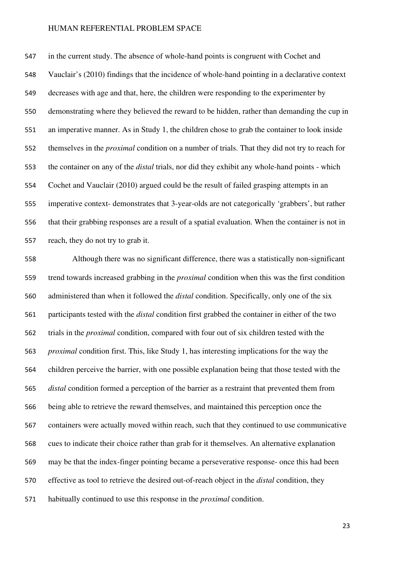in the current study. The absence of whole-hand points is congruent with Cochet and Vauclair's (2010) findings that the incidence of whole-hand pointing in a declarative context decreases with age and that, here, the children were responding to the experimenter by demonstrating where they believed the reward to be hidden, rather than demanding the cup in an imperative manner. As in Study 1, the children chose to grab the container to look inside themselves in the *proximal* condition on a number of trials. That they did not try to reach for the container on any of the *distal* trials, nor did they exhibit any whole-hand points - which Cochet and Vauclair (2010) argued could be the result of failed grasping attempts in an imperative context- demonstrates that 3-year-olds are not categorically 'grabbers', but rather that their grabbing responses are a result of a spatial evaluation. When the container is not in reach, they do not try to grab it.

Although there was no significant difference, there was a statistically non-significant trend towards increased grabbing in the *proximal* condition when this was the first condition administered than when it followed the *distal* condition. Specifically, only one of the six participants tested with the *distal* condition first grabbed the container in either of the two trials in the *proximal* condition, compared with four out of six children tested with the *proximal* condition first. This, like Study 1, has interesting implications for the way the children perceive the barrier, with one possible explanation being that those tested with the *distal* condition formed a perception of the barrier as a restraint that prevented them from being able to retrieve the reward themselves, and maintained this perception once the containers were actually moved within reach, such that they continued to use communicative cues to indicate their choice rather than grab for it themselves. An alternative explanation may be that the index-finger pointing became a perseverative response- once this had been effective as tool to retrieve the desired out-of-reach object in the *distal* condition, they habitually continued to use this response in the *proximal* condition.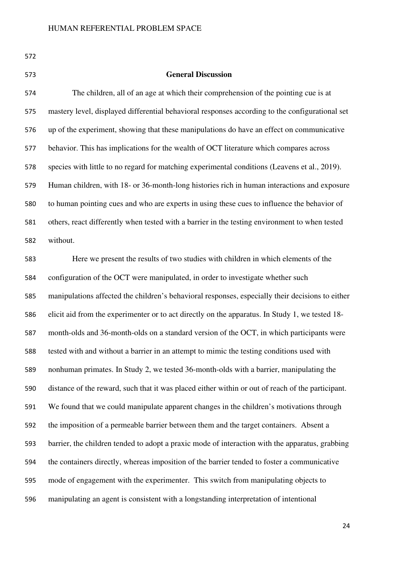|              | _ |         |
|--------------|---|---------|
| ۰.<br>v<br>w |   | ×<br>۰. |

#### **General Discussion**

The children, all of an age at which their comprehension of the pointing cue is at mastery level, displayed differential behavioral responses according to the configurational set up of the experiment, showing that these manipulations do have an effect on communicative behavior. This has implications for the wealth of OCT literature which compares across species with little to no regard for matching experimental conditions (Leavens et al., 2019). Human children, with 18- or 36-month-long histories rich in human interactions and exposure to human pointing cues and who are experts in using these cues to influence the behavior of others, react differently when tested with a barrier in the testing environment to when tested without.

Here we present the results of two studies with children in which elements of the configuration of the OCT were manipulated, in order to investigate whether such manipulations affected the children's behavioral responses, especially their decisions to either elicit aid from the experimenter or to act directly on the apparatus. In Study 1, we tested 18- month-olds and 36-month-olds on a standard version of the OCT, in which participants were tested with and without a barrier in an attempt to mimic the testing conditions used with nonhuman primates. In Study 2, we tested 36-month-olds with a barrier, manipulating the distance of the reward, such that it was placed either within or out of reach of the participant. We found that we could manipulate apparent changes in the children's motivations through the imposition of a permeable barrier between them and the target containers. Absent a barrier, the children tended to adopt a praxic mode of interaction with the apparatus, grabbing the containers directly, whereas imposition of the barrier tended to foster a communicative mode of engagement with the experimenter. This switch from manipulating objects to manipulating an agent is consistent with a longstanding interpretation of intentional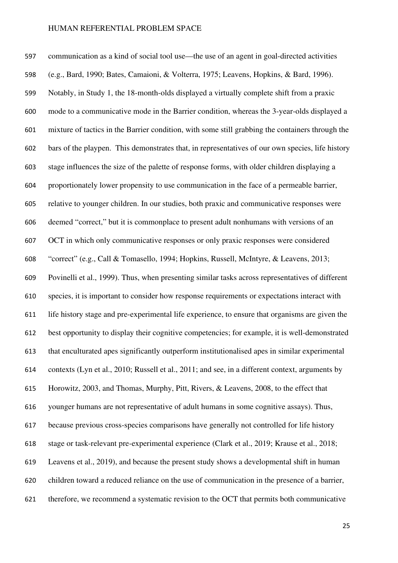communication as a kind of social tool use—the use of an agent in goal-directed activities (e.g., Bard, 1990; Bates, Camaioni, & Volterra, 1975; Leavens, Hopkins, & Bard, 1996). Notably, in Study 1, the 18-month-olds displayed a virtually complete shift from a praxic mode to a communicative mode in the Barrier condition, whereas the 3-year-olds displayed a mixture of tactics in the Barrier condition, with some still grabbing the containers through the bars of the playpen. This demonstrates that, in representatives of our own species, life history stage influences the size of the palette of response forms, with older children displaying a proportionately lower propensity to use communication in the face of a permeable barrier, relative to younger children. In our studies, both praxic and communicative responses were deemed "correct," but it is commonplace to present adult nonhumans with versions of an OCT in which only communicative responses or only praxic responses were considered "correct" (e.g., Call & Tomasello, 1994; Hopkins, Russell, McIntyre, & Leavens, 2013; Povinelli et al., 1999). Thus, when presenting similar tasks across representatives of different species, it is important to consider how response requirements or expectations interact with life history stage and pre-experimental life experience, to ensure that organisms are given the best opportunity to display their cognitive competencies; for example, it is well-demonstrated that enculturated apes significantly outperform institutionalised apes in similar experimental contexts (Lyn et al., 2010; Russell et al., 2011; and see, in a different context, arguments by Horowitz, 2003, and Thomas, Murphy, Pitt, Rivers, & Leavens, 2008, to the effect that younger humans are not representative of adult humans in some cognitive assays). Thus, because previous cross-species comparisons have generally not controlled for life history stage or task-relevant pre-experimental experience (Clark et al., 2019; Krause et al., 2018; Leavens et al., 2019), and because the present study shows a developmental shift in human children toward a reduced reliance on the use of communication in the presence of a barrier, therefore, we recommend a systematic revision to the OCT that permits both communicative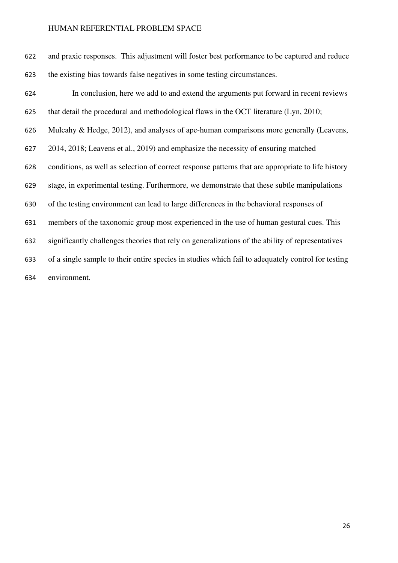| 622 | and praxic responses. This adjustment will foster best performance to be captured and reduce       |
|-----|----------------------------------------------------------------------------------------------------|
| 623 | the existing bias towards false negatives in some testing circumstances.                           |
| 624 | In conclusion, here we add to and extend the arguments put forward in recent reviews               |
| 625 | that detail the procedural and methodological flaws in the OCT literature (Lyn, 2010;              |
| 626 | Mulcahy & Hedge, 2012), and analyses of ape-human comparisons more generally (Leavens,             |
| 627 | 2014, 2018; Leavens et al., 2019) and emphasize the necessity of ensuring matched                  |
| 628 | conditions, as well as selection of correct response patterns that are appropriate to life history |
| 629 | stage, in experimental testing. Furthermore, we demonstrate that these subtle manipulations        |
| 630 | of the testing environment can lead to large differences in the behavioral responses of            |
| 631 | members of the taxonomic group most experienced in the use of human gestural cues. This            |
| 632 | significantly challenges theories that rely on generalizations of the ability of representatives   |
| 633 | of a single sample to their entire species in studies which fail to adequately control for testing |
| 634 | environment.                                                                                       |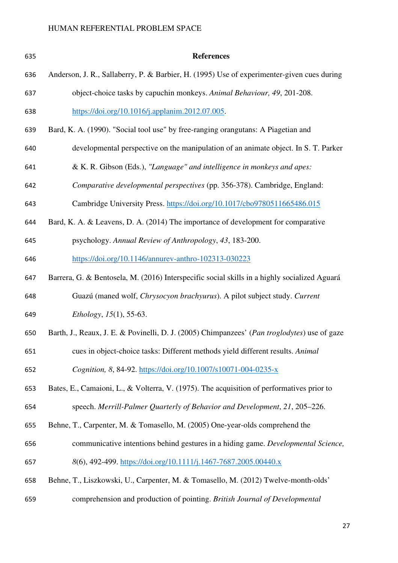| 635 | <b>References</b>                                                                            |
|-----|----------------------------------------------------------------------------------------------|
| 636 | Anderson, J. R., Sallaberry, P. & Barbier, H. (1995) Use of experimenter-given cues during   |
| 637 | object-choice tasks by capuchin monkeys. Animal Behaviour, 49, 201-208.                      |
| 638 | https://doi.org/10.1016/j.applanim.2012.07.005                                               |
| 639 | Bard, K. A. (1990). "Social tool use" by free-ranging orangutans: A Piagetian and            |
| 640 | developmental perspective on the manipulation of an animate object. In S. T. Parker          |
| 641 | & K. R. Gibson (Eds.), "Language" and intelligence in monkeys and apes:                      |
| 642 | Comparative developmental perspectives (pp. 356-378). Cambridge, England:                    |
| 643 | Cambridge University Press. https://doi.org/10.1017/cbo9780511665486.015                     |
| 644 | Bard, K. A. & Leavens, D. A. (2014) The importance of development for comparative            |
| 645 | psychology. Annual Review of Anthropology, 43, 183-200.                                      |
| 646 | https://doi.org/10.1146/annurev-anthro-102313-030223                                         |
| 647 | Barrera, G. & Bentosela, M. (2016) Interspecific social skills in a highly socialized Aguará |
| 648 | Guazú (maned wolf, Chrysocyon brachyurus). A pilot subject study. Current                    |
| 649 | <i>Ethology</i> , $15(1)$ , 55-63.                                                           |
| 650 | Barth, J., Reaux, J. E. & Povinelli, D. J. (2005) Chimpanzees' (Pan troglodytes) use of gaze |
| 651 | cues in object-choice tasks: Different methods yield different results. Animal               |
| 652 | Cognition, 8, 84-92. https://doi.org/10.1007/s10071-004-0235-x                               |
| 653 | Bates, E., Camaioni, L., & Volterra, V. (1975). The acquisition of performatives prior to    |
| 654 | speech. Merrill-Palmer Quarterly of Behavior and Development, 21, 205–226.                   |
| 655 | Behne, T., Carpenter, M. & Tomasello, M. (2005) One-year-olds comprehend the                 |
| 656 | communicative intentions behind gestures in a hiding game. Developmental Science,            |
| 657 | 8(6), 492-499. https://doi.org/10.1111/j.1467-7687.2005.00440.x                              |
| 658 | Behne, T., Liszkowski, U., Carpenter, M. & Tomasello, M. (2012) Twelve-month-olds'           |
| 659 | comprehension and production of pointing. British Journal of Developmental                   |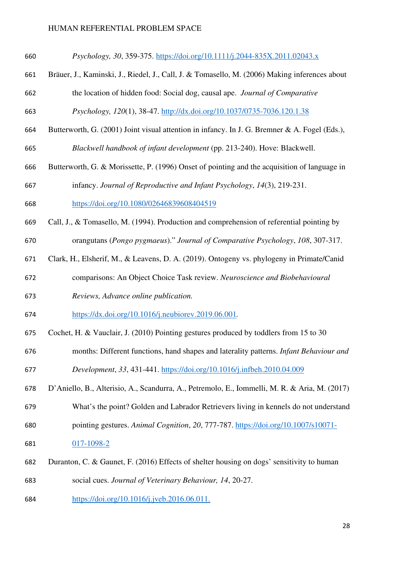| Bräuer, J., Kaminski, J., Riedel, J., Call, J. & Tomasello, M. (2006) Making inferences about<br>661<br>the location of hidden food: Social dog, causal ape. Journal of Comparative<br>662<br>Psychology, 120(1), 38-47. http://dx.doi.org/10.1037/0735-7036.120.1.38<br>663<br>Butterworth, G. (2001) Joint visual attention in infancy. In J. G. Bremner & A. Fogel (Eds.),<br>664<br>Blackwell handbook of infant development (pp. 213-240). Hove: Blackwell.<br>665<br>Butterworth, G. & Morissette, P. (1996) Onset of pointing and the acquisition of language in<br>666<br>infancy. Journal of Reproductive and Infant Psychology, 14(3), 219-231.<br>667<br>https://doi.org/10.1080/02646839608404519<br>668<br>Call, J., & Tomasello, M. (1994). Production and comprehension of referential pointing by<br>669 |
|--------------------------------------------------------------------------------------------------------------------------------------------------------------------------------------------------------------------------------------------------------------------------------------------------------------------------------------------------------------------------------------------------------------------------------------------------------------------------------------------------------------------------------------------------------------------------------------------------------------------------------------------------------------------------------------------------------------------------------------------------------------------------------------------------------------------------|
|                                                                                                                                                                                                                                                                                                                                                                                                                                                                                                                                                                                                                                                                                                                                                                                                                          |
|                                                                                                                                                                                                                                                                                                                                                                                                                                                                                                                                                                                                                                                                                                                                                                                                                          |
|                                                                                                                                                                                                                                                                                                                                                                                                                                                                                                                                                                                                                                                                                                                                                                                                                          |
|                                                                                                                                                                                                                                                                                                                                                                                                                                                                                                                                                                                                                                                                                                                                                                                                                          |
|                                                                                                                                                                                                                                                                                                                                                                                                                                                                                                                                                                                                                                                                                                                                                                                                                          |
|                                                                                                                                                                                                                                                                                                                                                                                                                                                                                                                                                                                                                                                                                                                                                                                                                          |
|                                                                                                                                                                                                                                                                                                                                                                                                                                                                                                                                                                                                                                                                                                                                                                                                                          |
|                                                                                                                                                                                                                                                                                                                                                                                                                                                                                                                                                                                                                                                                                                                                                                                                                          |
|                                                                                                                                                                                                                                                                                                                                                                                                                                                                                                                                                                                                                                                                                                                                                                                                                          |
| orangutans (Pongo pygmaeus)." Journal of Comparative Psychology, 108, 307-317.<br>670                                                                                                                                                                                                                                                                                                                                                                                                                                                                                                                                                                                                                                                                                                                                    |
| Clark, H., Elsherif, M., & Leavens, D. A. (2019). Ontogeny vs. phylogeny in Primate/Canid<br>671                                                                                                                                                                                                                                                                                                                                                                                                                                                                                                                                                                                                                                                                                                                         |
| comparisons: An Object Choice Task review. Neuroscience and Biobehavioural<br>672                                                                                                                                                                                                                                                                                                                                                                                                                                                                                                                                                                                                                                                                                                                                        |
| Reviews, Advance online publication.<br>673                                                                                                                                                                                                                                                                                                                                                                                                                                                                                                                                                                                                                                                                                                                                                                              |
| https://dx.doi.org/10.1016/j.neubiorev.2019.06.001.<br>674                                                                                                                                                                                                                                                                                                                                                                                                                                                                                                                                                                                                                                                                                                                                                               |
| Cochet, H. & Vauclair, J. (2010) Pointing gestures produced by toddlers from 15 to 30<br>675                                                                                                                                                                                                                                                                                                                                                                                                                                                                                                                                                                                                                                                                                                                             |
| months: Different functions, hand shapes and laterality patterns. Infant Behaviour and<br>676                                                                                                                                                                                                                                                                                                                                                                                                                                                                                                                                                                                                                                                                                                                            |
| Development, 33, 431-441. https://doi.org/10.1016/j.infbeh.2010.04.009<br>677                                                                                                                                                                                                                                                                                                                                                                                                                                                                                                                                                                                                                                                                                                                                            |
| D'Aniello, B., Alterisio, A., Scandurra, A., Petremolo, E., Iommelli, M. R. & Aria, M. (2017)<br>678                                                                                                                                                                                                                                                                                                                                                                                                                                                                                                                                                                                                                                                                                                                     |
| What's the point? Golden and Labrador Retrievers living in kennels do not understand<br>679                                                                                                                                                                                                                                                                                                                                                                                                                                                                                                                                                                                                                                                                                                                              |
| pointing gestures. Animal Cognition, 20, 777-787. https://doi.org/10.1007/s10071-<br>680                                                                                                                                                                                                                                                                                                                                                                                                                                                                                                                                                                                                                                                                                                                                 |
| $017 - 1098 - 2$<br>681                                                                                                                                                                                                                                                                                                                                                                                                                                                                                                                                                                                                                                                                                                                                                                                                  |
| Duranton, C. & Gaunet, F. (2016) Effects of shelter housing on dogs' sensitivity to human<br>682                                                                                                                                                                                                                                                                                                                                                                                                                                                                                                                                                                                                                                                                                                                         |
| social cues. Journal of Veterinary Behaviour, 14, 20-27.<br>683                                                                                                                                                                                                                                                                                                                                                                                                                                                                                                                                                                                                                                                                                                                                                          |

https://doi.org/10.1016/j.jveb.2016.06.011.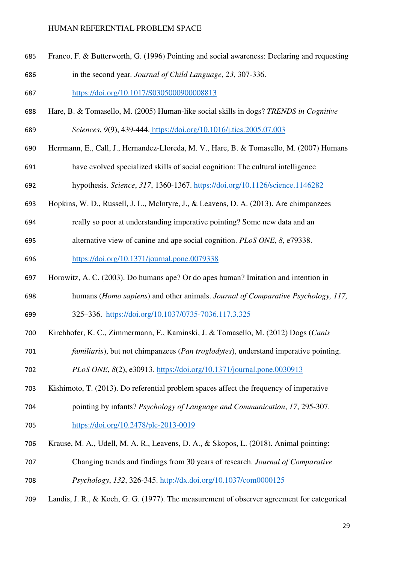Franco, F. & Butterworth, G. (1996) Pointing and social awareness: Declaring and requesting in the second year*. Journal of Child Language*, *23*, 307-336.

https://doi.org/10.1017/S0305000900008813

Hare, B. & Tomasello, M. (2005) Human-like social skills in dogs? *TRENDS in Cognitive* 

*Sciences*, *9*(9), 439-444. https://doi.org/10.1016/j.tics.2005.07.003

- Herrmann, E., Call, J., Hernandez-Lloreda, M. V., Hare, B. & Tomasello, M. (2007) Humans
- have evolved specialized skills of social cognition: The cultural intelligence

hypothesis. *Science*, *317*, 1360-1367. https://doi.org/10.1126/science.1146282

- Hopkins, W. D., Russell, J. L., McIntyre, J., & Leavens, D. A. (2013). Are chimpanzees
- really so poor at understanding imperative pointing? Some new data and an
- alternative view of canine and ape social cognition. *PLoS ONE*, *8*, e79338.

https://doi.org/10.1371/journal.pone.0079338

- Horowitz, A. C. (2003). Do humans ape? Or do apes human? Imitation and intention in
- humans (*Homo sapiens*) and other animals. *Journal of Comparative Psychology, 117,*

325–336. https://doi.org/10.1037/0735-7036.117.3.325

- Kirchhofer, K. C., Zimmermann, F., Kaminski, J. & Tomasello, M. (2012) Dogs (*Canis*
- *familiaris*), but not chimpanzees (*Pan troglodytes*), understand imperative pointing.
- *PLoS ONE*, *8*(2), e30913. https://doi.org/10.1371/journal.pone.0030913
- Kishimoto, T. (2013). Do referential problem spaces affect the frequency of imperative
- pointing by infants? *Psychology of Language and Communication*, *17*, 295-307.
- https://doi.org/10.2478/plc-2013-0019
- Krause, M. A., Udell, M. A. R., Leavens, D. A., & Skopos, L. (2018). Animal pointing:
- Changing trends and findings from 30 years of research. *Journal of Comparative*
- *Psychology*, *132*, 326-345. http://dx.doi.org/10.1037/com0000125
- Landis, J. R., & Koch, G. G. (1977). The measurement of observer agreement for categorical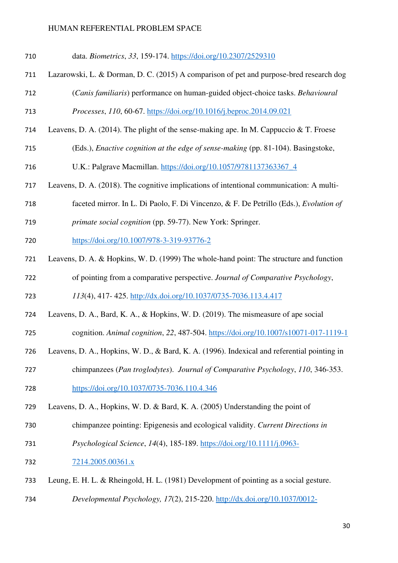- data. *Biometrics*, *33*, 159-174. https://doi.org/10.2307/2529310
- Lazarowski, L. & Dorman, D. C. (2015) A comparison of pet and purpose-bred research dog
- (*Canis familiaris*) performance on human-guided object-choice tasks. *Behavioural*

*Processes*, *110*, 60-67. https://doi.org/10.1016/j.beproc.2014.09.021

- Leavens, D. A. (2014). The plight of the sense-making ape. In M. Cappuccio & T. Froese
- (Eds.), *Enactive cognition at the edge of sense-making* (pp. 81-104). Basingstoke,

U.K.: Palgrave Macmillan. https://doi.org/10.1057/9781137363367\_4

- Leavens, D. A. (2018). The cognitive implications of intentional communication: A multi-
- faceted mirror. In L. Di Paolo, F. Di Vincenzo, & F. De Petrillo (Eds.), *Evolution of*
- *primate social cognition* (pp. 59-77). New York: Springer.
- https://doi.org/10.1007/978-3-319-93776-2
- Leavens, D. A. & Hopkins, W. D. (1999) The whole-hand point: The structure and function of pointing from a comparative perspective. *Journal of Comparative Psychology*,

*113*(4), 417- 425. http://dx.doi.org/10.1037/0735-7036.113.4.417

- Leavens, D. A., Bard, K. A., & Hopkins, W. D. (2019). The mismeasure of ape social cognition. *Animal cognition*, *22*, 487-504. https://doi.org/10.1007/s10071-017-1119-1
- Leavens, D. A., Hopkins, W. D., & Bard, K. A. (1996). Indexical and referential pointing in chimpanzees (*Pan troglodytes*). *Journal of Comparative Psychology*, *110*, 346-353.
- https://doi.org/10.1037/0735-7036.110.4.346
- Leavens, D. A., Hopkins, W. D. & Bard, K. A. (2005) Understanding the point of
- chimpanzee pointing: Epigenesis and ecological validity. *Current Directions in*
- *Psychological Science*, *14*(4), 185-189. https://doi.org/10.1111/j.0963-
- 7214.2005.00361.x
- Leung, E. H. L. & Rheingold, H. L. (1981) Development of pointing as a social gesture.
- *Developmental Psychology, 17*(2), 215-220. http://dx.doi.org/10.1037/0012-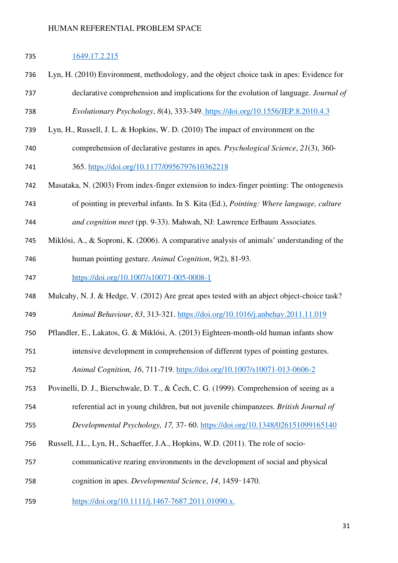### 1649.17.2.215

- Lyn, H. (2010) Environment, methodology, and the object choice task in apes: Evidence for declarative comprehension and implications for the evolution of language. *Journal of*
- *Evolutionary Psychology*, *8*(4), 333-349. https://doi.org/10.1556/JEP.8.2010.4.3
- Lyn, H., Russell, J. L. & Hopkins, W. D. (2010) The impact of environment on the
- comprehension of declarative gestures in apes. *Psychological Science*, *21*(3), 360- 365. https://doi.org/10.1177/0956797610362218
- Masataka, N. (2003) From index-finger extension to index-finger pointing: The ontogenesis
- of pointing in preverbal infants. In S. Kita (Ed.), *Pointing: Where language, culture and cognition meet* (pp. 9-33). Mahwah, NJ: Lawrence Erlbaum Associates.
- Miklósi, A., & Soproni, K. (2006). A comparative analysis of animals' understanding of the
- human pointing gesture. *Animal Cognition*, *9*(2), 81-93.

https://doi.org/10.1007/s10071-005-0008-1

- Mulcahy, N. J. & Hedge, V. (2012) Are great apes tested with an abject object-choice task? *Animal Behaviour*, *83*, 313-321. https://doi.org/10.1016/j.anbehav.2011.11.019
- Pflandler, E., Lakatos, G. & Miklósi, A. (2013) Eighteen-month-old human infants show
- intensive development in comprehension of different types of pointing gestures.

*Animal Cognition, 16*, 711-719. https://doi.org/10.1007/s10071-013-0606-2

- Povinelli, D. J., Bierschwale, D. T., & Čech, C. G. (1999). Comprehension of seeing as a
- referential act in young children, but not juvenile chimpanzees. *British Journal of*
- *Developmental Psychology, 17,* 37- 60. https://doi.org/10.1348/026151099165140
- Russell, J.L., Lyn, H., Schaeffer, J.A., Hopkins, W.D. (2011). The role of socio-
- communicative rearing environments in the development of social and physical
- cognition in apes. *Developmental Science*, *14*, 1459–1470.
- https://doi.org/10.1111/j.1467-7687.2011.01090.x.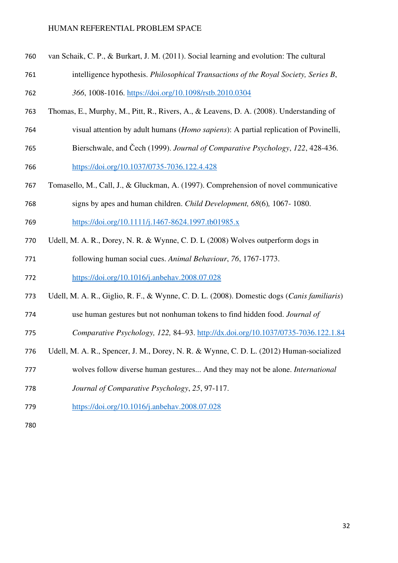- van Schaik, C. P., & Burkart, J. M. (2011). Social learning and evolution: The cultural
- intelligence hypothesis. *Philosophical Transactions of the Royal Society, Series B*,

*366*, 1008-1016. https://doi.org/10.1098/rstb.2010.0304

- Thomas, E., Murphy, M., Pitt, R., Rivers, A., & Leavens, D. A. (2008). Understanding of
- visual attention by adult humans (*Homo sapiens*): A partial replication of Povinelli,
- Bierschwale, and Čech (1999). *Journal of Comparative Psychology*, *122*, 428-436. https://doi.org/10.1037/0735-7036.122.4.428
- Tomasello, M., Call, J., & Gluckman, A. (1997). Comprehension of novel communicative
- signs by apes and human children. *Child Development, 68*(6)*,* 1067- 1080.
- https://doi.org/10.1111/j.1467-8624.1997.tb01985.x
- Udell, M. A. R., Dorey, N. R. & Wynne, C. D. L (2008) Wolves outperform dogs in

following human social cues. *Animal Behaviour*, *76*, 1767-1773. https://doi.org/10.1016/j.anbehav.2008.07.028

- Udell, M. A. R., Giglio, R. F., & Wynne, C. D. L. (2008). Domestic dogs (*Canis familiaris*)
- use human gestures but not nonhuman tokens to find hidden food. *Journal of*
- *Comparative Psychology, 122,* 84–93. http://dx.doi.org/10.1037/0735-7036.122.1.84
- Udell, M. A. R., Spencer, J. M., Dorey, N. R. & Wynne, C. D. L. (2012) Human-socialized
- wolves follow diverse human gestures... And they may not be alone. *International*
- *Journal of Comparative Psychology*, *25*, 97-117.
- https://doi.org/10.1016/j.anbehav.2008.07.028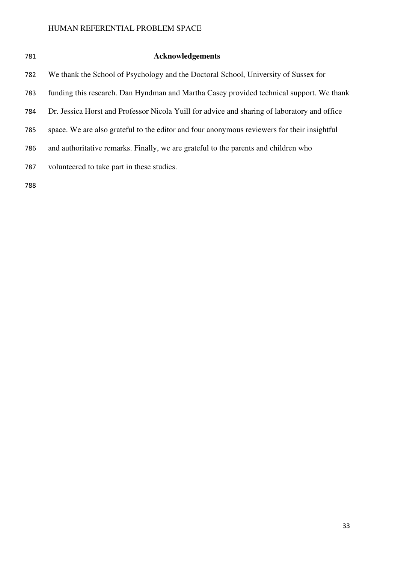| ۰.     | ı |
|--------|---|
| ×<br>v |   |

#### **Acknowledgements**

We thank the School of Psychology and the Doctoral School, University of Sussex for

funding this research. Dan Hyndman and Martha Casey provided technical support. We thank

- Dr. Jessica Horst and Professor Nicola Yuill for advice and sharing of laboratory and office
- space. We are also grateful to the editor and four anonymous reviewers for their insightful
- and authoritative remarks. Finally, we are grateful to the parents and children who
- volunteered to take part in these studies.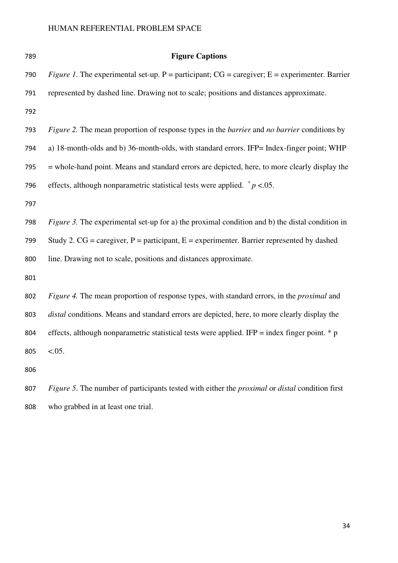| 789 | <b>Figure Captions</b>                                                                                                 |
|-----|------------------------------------------------------------------------------------------------------------------------|
| 790 | <i>Figure 1.</i> The experimental set-up. $P =$ participant; $CG =$ caregiver; $E =$ experimenter. Barrier             |
| 791 | represented by dashed line. Drawing not to scale; positions and distances approximate.                                 |
| 792 |                                                                                                                        |
| 793 | <i>Figure 2.</i> The mean proportion of response types in the <i>barrier</i> and <i>no barrier</i> conditions by       |
| 794 | a) 18-month-olds and b) 36-month-olds, with standard errors. IFP= Index-finger point; WHP                              |
| 795 | = whole-hand point. Means and standard errors are depicted, here, to more clearly display the                          |
| 796 | effects, although nonparametric statistical tests were applied. $p < 0.05$ .                                           |
| 797 |                                                                                                                        |
| 798 | <i>Figure 3.</i> The experimental set-up for a) the proximal condition and b) the distal condition in                  |
| 799 | Study 2. $CG = \text{cargiver}$ , $P = \text{participant}$ , $E = \text{experimenter}$ . Barrier represented by dashed |
| 800 | line. Drawing not to scale, positions and distances approximate.                                                       |
| 801 |                                                                                                                        |
| 802 | Figure 4. The mean proportion of response types, with standard errors, in the <i>proximal</i> and                      |
| 803 | distal conditions. Means and standard errors are depicted, here, to more clearly display the                           |
| 804 | effects, although nonparametric statistical tests were applied. IFP = index finger point. $*$ p                        |
| 805 | $<0.05$ .                                                                                                              |
| 806 |                                                                                                                        |
| 807 | Figure 5. The number of participants tested with either the <i>proximal</i> or <i>distal</i> condition first           |
| 808 | who grabbed in at least one trial.                                                                                     |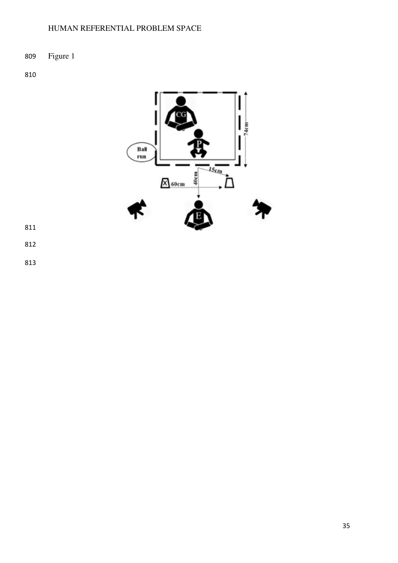Figure 1

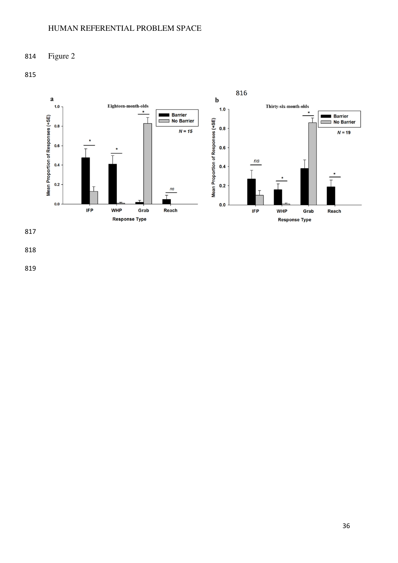Figure 2



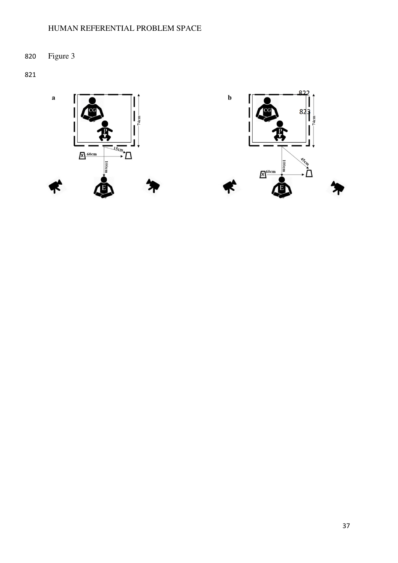Figure 3





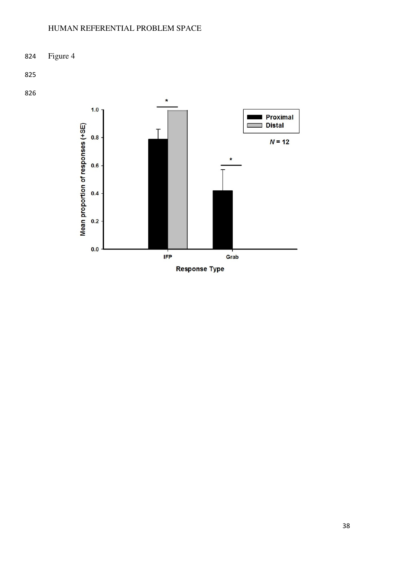

**Response Type**